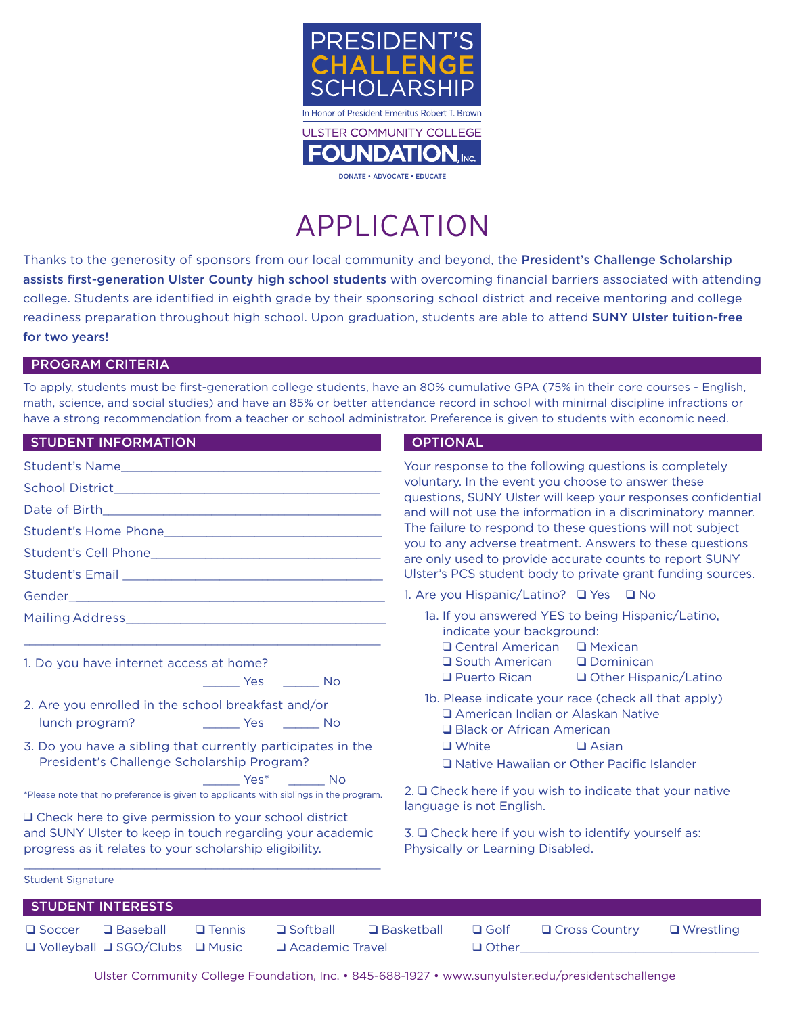

# APPLICATION

Thanks to the generosity of sponsors from our local community and beyond, the President's Challenge Scholarship assists first-generation Ulster County high school students with overcoming financial barriers associated with attending college. Students are identified in eighth grade by their sponsoring school district and receive mentoring and college readiness preparation throughout high school. Upon graduation, students are able to attend SUNY Ulster tuition-free for two years!

## PROGRAM CRITERIA

To apply, students must be first-generation college students, have an 80% cumulative GPA (75% in their core courses - English, math, science, and social studies) and have an 85% or better attendance record in school with minimal discipline infractions or have a strong recommendation from a teacher or school administrator. Preference is given to students with economic need.

| <b>STUDENT INFORMATION</b>                                                                                                                                                     | <b>OPTIONAL</b>                                                                                                              |  |
|--------------------------------------------------------------------------------------------------------------------------------------------------------------------------------|------------------------------------------------------------------------------------------------------------------------------|--|
| Student's Name                                                                                                                                                                 | Your response to the following questions is completely                                                                       |  |
|                                                                                                                                                                                | voluntary. In the event you choose to answer these                                                                           |  |
|                                                                                                                                                                                | questions, SUNY Ulster will keep your responses confidential<br>and will not use the information in a discriminatory manner. |  |
|                                                                                                                                                                                | The failure to respond to these questions will not subject                                                                   |  |
|                                                                                                                                                                                | you to any adverse treatment. Answers to these questions<br>are only used to provide accurate counts to report SUNY          |  |
|                                                                                                                                                                                | Ulster's PCS student body to private grant funding sources.                                                                  |  |
|                                                                                                                                                                                | 1. Are you Hispanic/Latino? □ Yes □ No                                                                                       |  |
|                                                                                                                                                                                | 1a. If you answered YES to being Hispanic/Latino,<br>indicate your background:<br>$\Box$ Central American $\Box$ Mexican     |  |
| 1. Do you have internet access at home?                                                                                                                                        | <b>□</b> South American<br><b>Q</b> Dominican                                                                                |  |
| No Ves No                                                                                                                                                                      | $\Box$ Puerto Rican $\Box$ Other Hispanic/Latino                                                                             |  |
| 2. Are you enrolled in the school breakfast and/or                                                                                                                             | 1b. Please indicate your race (check all that apply)<br>□ American Indian or Alaskan Native<br>□ Black or African American   |  |
| 3. Do you have a sibling that currently participates in the<br>President's Challenge Scholarship Program?                                                                      | $\Box$ White<br>$\Box$ Asian<br>Native Hawaiian or Other Pacific Islander                                                    |  |
| Yes* No<br>*Please note that no preference is given to applicants with siblings in the program.                                                                                | 2. $\Box$ Check here if you wish to indicate that your native<br>language is not English.                                    |  |
| □ Check here to give permission to your school district<br>and SUNY Ulster to keep in touch regarding your academic<br>progress as it relates to your scholarship eligibility. | 3. □ Check here if you wish to identify yourself as:<br>Physically or Learning Disabled.                                     |  |
| <b>Student Signature</b>                                                                                                                                                       |                                                                                                                              |  |
| <b>STUDENT INTERESTS</b>                                                                                                                                                       |                                                                                                                              |  |
| <b>Q</b> Baseball<br>$\square$ Softball<br>$\square$ Soccer<br>$\Box$ Tennis<br>$\Box$ Volleyball $\Box$ SGO/Clubs $\Box$ Music<br>Academic Travel                             | $\Box$ Basketball<br>$\Box$ Golf<br>$\Box$ Wrestling<br><b>Q</b> Cross Country<br>$\Box$ Other and $\Box$ Other and $\Box$   |  |

Ulster Community College Foundation, Inc. • 845-688-1927 • www.sunyulster.edu/presidentschallenge